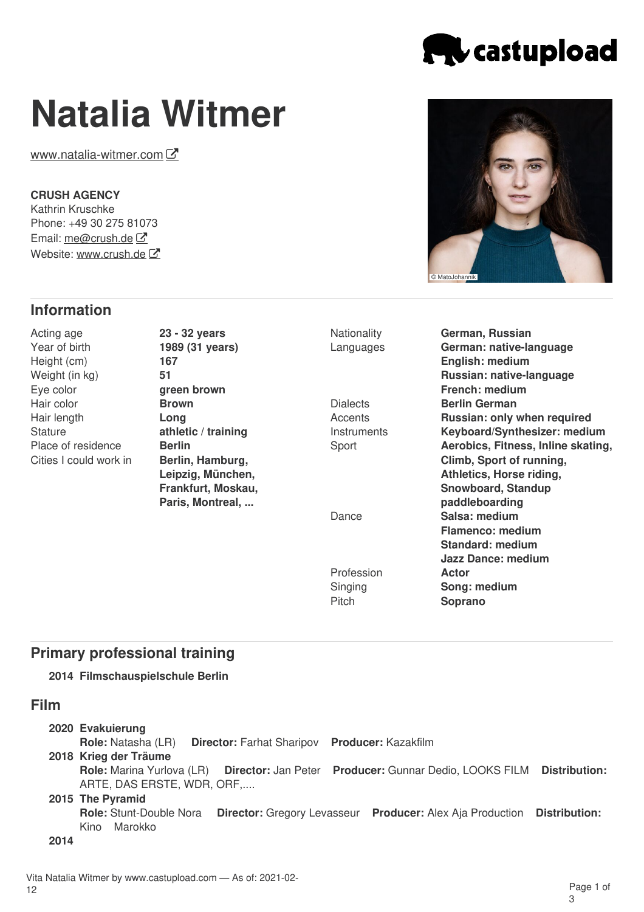

# **Natalia Witmer**

[www.natalia-witmer.com](file:////tmp/www.natalia-witmer.com) $\mathcal G$ 

### **CRUSH AGENCY**

Kathrin Kruschke Phone: +49 30 275 81073 Email: [me@crush.de](mailto:me@crush.de) Website: [www.crush.de](http://www.crush.de) C

# **Information**

Acting age Year of birth Height (cm) Weight (in kg) Eye color Hair color Hair length **Stature** Place of residence Cities I could work in **23 - 32 years 1989 (31 years) 167 51 green brown Brown Long athletic / training Berlin Berlin, Hamburg, Leipzig, München, Frankfurt, Moskau, Paris, Montreal, ...**

**Dialects Accents Instruments** Sport Dance

> Profession Singing **Pitch**

**Nationality** Languages **German, Russian German: native-language English: medium Russian: native-language French: medium Berlin German Russian: only when required Keyboard/Synthesizer: medium Aerobics, Fitness, Inline skating, Climb, Sport of running, Athletics, Horse riding, Snowboard, Standup paddleboarding Salsa: medium Flamenco: medium Standard: medium Jazz Dance: medium Actor Song: medium Soprano**

# **Primary professional training**

**2014 Filmschauspielschule Berlin**

## **Film**

| 2020 Evakuierung<br><b>Role:</b> Natasha (LR)<br>2018 Krieg der Träume                                                       | <b>Director: Farhat Sharipov Producer: Kazakfilm</b> |                                                                  |               |
|------------------------------------------------------------------------------------------------------------------------------|------------------------------------------------------|------------------------------------------------------------------|---------------|
| Role: Marina Yurlova (LR) Director: Jan Peter Producer: Gunnar Dedio, LOOKS FILM Distribution:<br>ARTE, DAS ERSTE, WDR, ORF, |                                                      |                                                                  |               |
| 2015 The Pyramid<br><b>Role: Stunt-Double Nora</b>                                                                           |                                                      | <b>Director:</b> Gregory Levasseur Producer: Alex Aja Production | Distribution: |
| Marokko<br>Kino                                                                                                              |                                                      |                                                                  |               |

**2014**

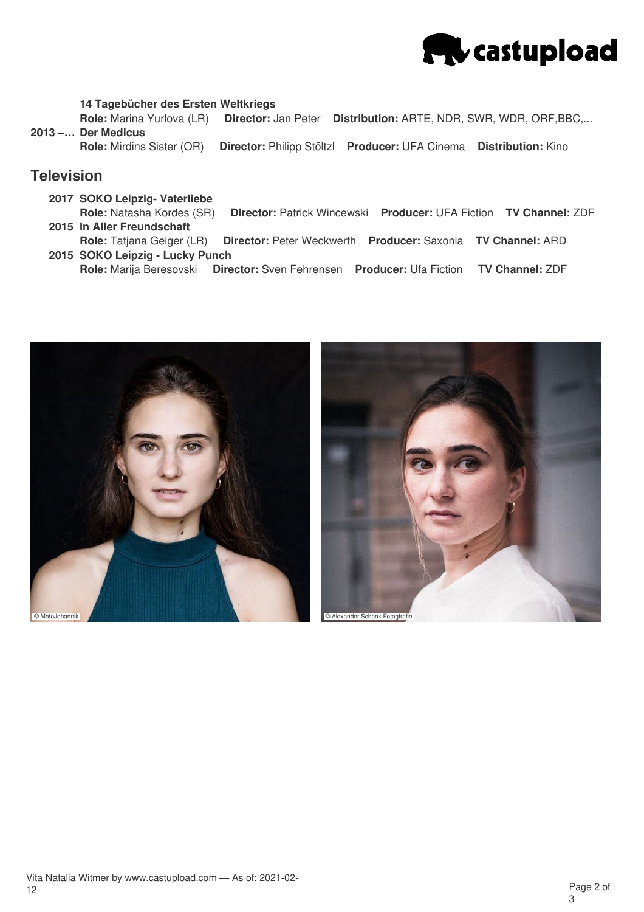

#### **14 Tagebücher des Ersten Weltkriegs**

**2013 –… Der Medicus Role:** Marina Yurlova (LR) **Director:** Jan Peter **Distribution:** ARTE, NDR, SWR, WDR, ORF,BBC,...

**Role:** Mirdins Sister (OR) **Director:** Philipp Stöltzl **Producer:** UFA Cinema **Distribution:** Kino

## **Television**

- **2017 SOKO Leipzig- Vaterliebe**
- **2015 In Aller Freundschaft Role:** Natasha Kordes (SR) **Director:** Patrick Wincewski **Producer:** UFA Fiction **TV Channel:** ZDF
- **2015 SOKO Leipzig - Lucky Punch Role:** Tatjana Geiger (LR) **Director:** Peter Weckwerth **Producer:** Saxonia **TV Channel:** ARD
	- **Role:** Marija Beresovski **Director:** Sven Fehrensen **Producer:** Ufa Fiction **TV Channel:** ZDF